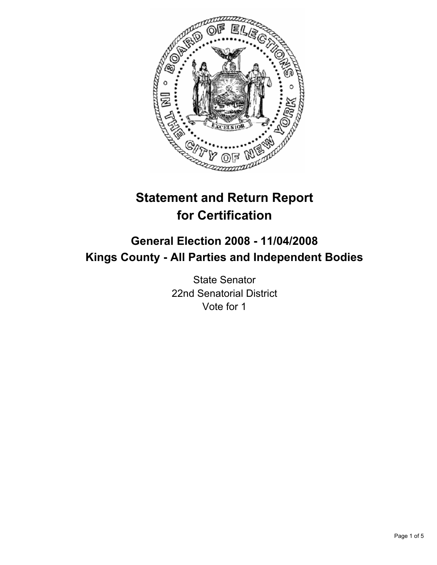

# **Statement and Return Report for Certification**

# **General Election 2008 - 11/04/2008 Kings County - All Parties and Independent Bodies**

State Senator 22nd Senatorial District Vote for 1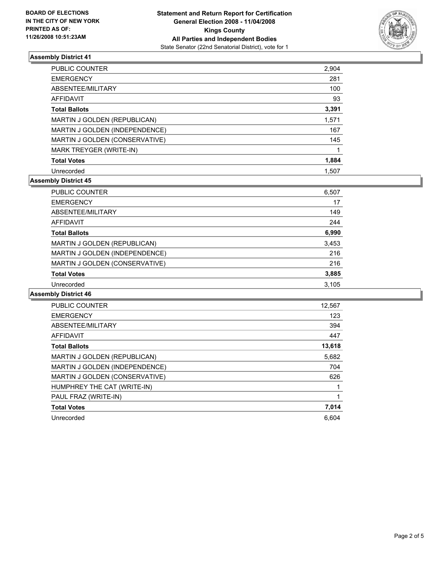

# **Assembly District 41**

| <b>PUBLIC COUNTER</b>          | 2,904 |  |
|--------------------------------|-------|--|
| <b>EMERGENCY</b>               | 281   |  |
| ABSENTEE/MILITARY              | 100   |  |
| AFFIDAVIT                      | 93    |  |
| <b>Total Ballots</b>           | 3,391 |  |
| MARTIN J GOLDEN (REPUBLICAN)   | 1,571 |  |
| MARTIN J GOLDEN (INDEPENDENCE) | 167   |  |
| MARTIN J GOLDEN (CONSERVATIVE) | 145   |  |
| MARK TREYGER (WRITE-IN)        |       |  |
| <b>Total Votes</b>             | 1,884 |  |
| Unrecorded                     | 1.507 |  |

# **Assembly District 45**

| PUBLIC COUNTER                 | 6,507 |
|--------------------------------|-------|
| <b>EMERGENCY</b>               | 17    |
| ABSENTEE/MILITARY              | 149   |
| AFFIDAVIT                      | 244   |
| <b>Total Ballots</b>           | 6,990 |
| MARTIN J GOLDEN (REPUBLICAN)   | 3,453 |
| MARTIN J GOLDEN (INDEPENDENCE) | 216   |
| MARTIN J GOLDEN (CONSERVATIVE) | 216   |
| <b>Total Votes</b>             | 3,885 |
| Unrecorded                     | 3,105 |

# **Assembly District 46**

| PUBLIC COUNTER                 | 12,567 |
|--------------------------------|--------|
| <b>EMERGENCY</b>               | 123    |
| ABSENTEE/MILITARY              | 394    |
| AFFIDAVIT                      | 447    |
| <b>Total Ballots</b>           | 13,618 |
| MARTIN J GOLDEN (REPUBLICAN)   | 5,682  |
| MARTIN J GOLDEN (INDEPENDENCE) | 704    |
| MARTIN J GOLDEN (CONSERVATIVE) | 626    |
| HUMPHREY THE CAT (WRITE-IN)    |        |
| PAUL FRAZ (WRITE-IN)           |        |
| <b>Total Votes</b>             | 7,014  |
| Unrecorded                     | 6.604  |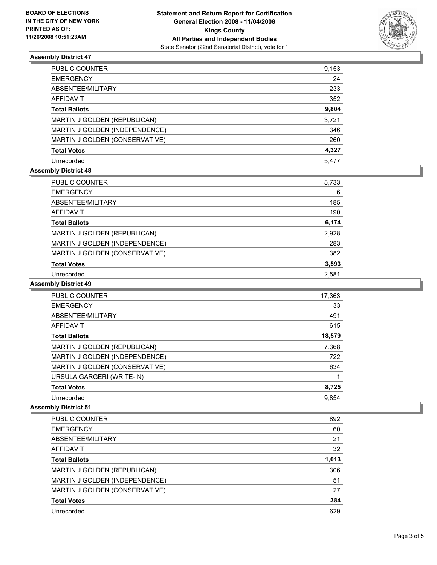

# **Assembly District 47**

| PUBLIC COUNTER                 | 9,153 |
|--------------------------------|-------|
| <b>EMERGENCY</b>               | 24    |
| ABSENTEE/MILITARY              | 233   |
| AFFIDAVIT                      | 352   |
| <b>Total Ballots</b>           | 9,804 |
| MARTIN J GOLDEN (REPUBLICAN)   | 3,721 |
| MARTIN J GOLDEN (INDEPENDENCE) | 346   |
| MARTIN J GOLDEN (CONSERVATIVE) | 260   |
| <b>Total Votes</b>             | 4,327 |
| Unrecorded                     | 5.477 |

# **Assembly District 48**

| PUBLIC COUNTER                 | 5,733 |  |
|--------------------------------|-------|--|
| <b>EMERGENCY</b>               | 6     |  |
| ABSENTEE/MILITARY              | 185   |  |
| AFFIDAVIT                      | 190   |  |
| <b>Total Ballots</b>           | 6,174 |  |
| MARTIN J GOLDEN (REPUBLICAN)   | 2,928 |  |
| MARTIN J GOLDEN (INDEPENDENCE) | 283   |  |
| MARTIN J GOLDEN (CONSERVATIVE) | 382   |  |
| <b>Total Votes</b>             | 3,593 |  |
| Unrecorded                     | 2.581 |  |

#### **Assembly District 49**

| PUBLIC COUNTER                      | 17,363 |  |
|-------------------------------------|--------|--|
| <b>EMERGENCY</b>                    | 33     |  |
| ABSENTEE/MILITARY                   | 491    |  |
| <b>AFFIDAVIT</b>                    | 615    |  |
| <b>Total Ballots</b>                | 18,579 |  |
| <b>MARTIN J GOLDEN (REPUBLICAN)</b> | 7,368  |  |
| MARTIN J GOLDEN (INDEPENDENCE)      | 722    |  |
| MARTIN J GOLDEN (CONSERVATIVE)      | 634    |  |
| URSULA GARGERI (WRITE-IN)           |        |  |
| <b>Total Votes</b>                  | 8,725  |  |
| Unrecorded                          | 9.854  |  |

#### **Assembly District 51**

| PUBLIC COUNTER                 | 892   |
|--------------------------------|-------|
| <b>EMERGENCY</b>               | 60    |
| ABSENTEE/MILITARY              | 21    |
| AFFIDAVIT                      | 32    |
| <b>Total Ballots</b>           | 1,013 |
| MARTIN J GOLDEN (REPUBLICAN)   | 306   |
| MARTIN J GOLDEN (INDEPENDENCE) | 51    |
| MARTIN J GOLDEN (CONSERVATIVE) | 27    |
| <b>Total Votes</b>             | 384   |
| Unrecorded                     | 629   |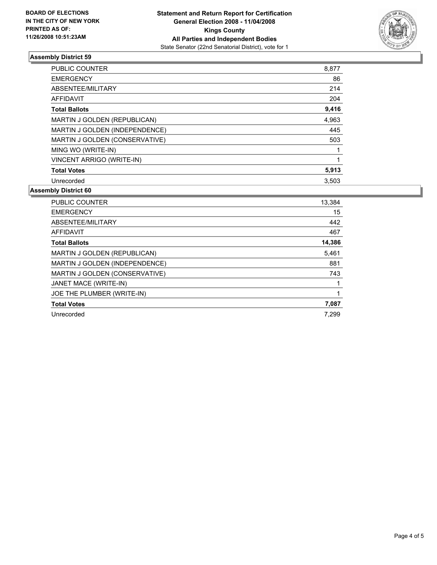

# **Assembly District 59**

| PUBLIC COUNTER                      | 8,877 |
|-------------------------------------|-------|
| <b>EMERGENCY</b>                    | 86    |
| ABSENTEE/MILITARY                   | 214   |
| AFFIDAVIT                           | 204   |
| <b>Total Ballots</b>                | 9,416 |
| <b>MARTIN J GOLDEN (REPUBLICAN)</b> | 4,963 |
| MARTIN J GOLDEN (INDEPENDENCE)      | 445   |
| MARTIN J GOLDEN (CONSERVATIVE)      | 503   |
| MING WO (WRITE-IN)                  |       |
| VINCENT ARRIGO (WRITE-IN)           |       |
| <b>Total Votes</b>                  | 5,913 |
| Unrecorded                          | 3,503 |

#### **Assembly District 60**

| PUBLIC COUNTER                 | 13,384 |
|--------------------------------|--------|
| <b>EMERGENCY</b>               | 15     |
| ABSENTEE/MILITARY              | 442    |
| AFFIDAVIT                      | 467    |
| <b>Total Ballots</b>           | 14,386 |
| MARTIN J GOLDEN (REPUBLICAN)   | 5,461  |
| MARTIN J GOLDEN (INDEPENDENCE) | 881    |
| MARTIN J GOLDEN (CONSERVATIVE) | 743    |
| JANET MACE (WRITE-IN)          |        |
| JOE THE PLUMBER (WRITE-IN)     |        |
| <b>Total Votes</b>             | 7,087  |
| Unrecorded                     | 7.299  |